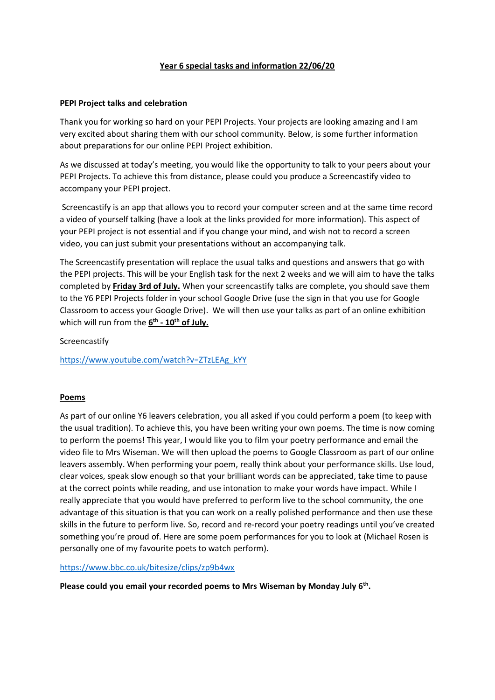## **Year 6 special tasks and information 22/06/20**

#### **PEPI Project talks and celebration**

Thank you for working so hard on your PEPI Projects. Your projects are looking amazing and I am very excited about sharing them with our school community. Below, is some further information about preparations for our online PEPI Project exhibition.

As we discussed at today's meeting, you would like the opportunity to talk to your peers about your PEPI Projects. To achieve this from distance, please could you produce a Screencastify video to accompany your PEPI project.

Screencastify is an app that allows you to record your computer screen and at the same time record a video of yourself talking (have a look at the links provided for more information). This aspect of your PEPI project is not essential and if you change your mind, and wish not to record a screen video, you can just submit your presentations without an accompanying talk.

The Screencastify presentation will replace the usual talks and questions and answers that go with the PEPI projects. This will be your English task for the next 2 weeks and we will aim to have the talks completed by **Friday 3rd of July.** When your screencastify talks are complete, you should save them to the Y6 PEPI Projects folder in your school Google Drive (use the sign in that you use for Google Classroom to access your Google Drive). We will then use your talks as part of an online exhibition which will run from the **6 th - 10th of July.**

Screencastify

[https://www.youtube.com/watch?v=ZTzLEAg\\_kYY](https://www.youtube.com/watch?v=ZTzLEAg_kYY)

#### **Poems**

As part of our online Y6 leavers celebration, you all asked if you could perform a poem (to keep with the usual tradition). To achieve this, you have been writing your own poems. The time is now coming to perform the poems! This year, I would like you to film your poetry performance and email the video file to Mrs Wiseman. We will then upload the poems to Google Classroom as part of our online leavers assembly. When performing your poem, really think about your performance skills. Use loud, clear voices, speak slow enough so that your brilliant words can be appreciated, take time to pause at the correct points while reading, and use intonation to make your words have impact. While I really appreciate that you would have preferred to perform live to the school community, the one advantage of this situation is that you can work on a really polished performance and then use these skills in the future to perform live. So, record and re-record your poetry readings until you've created something you're proud of. Here are some poem performances for you to look at (Michael Rosen is personally one of my favourite poets to watch perform).

<https://www.bbc.co.uk/bitesize/clips/zp9b4wx>

**Please could you email your recorded poems to Mrs Wiseman by Monday July 6th .**